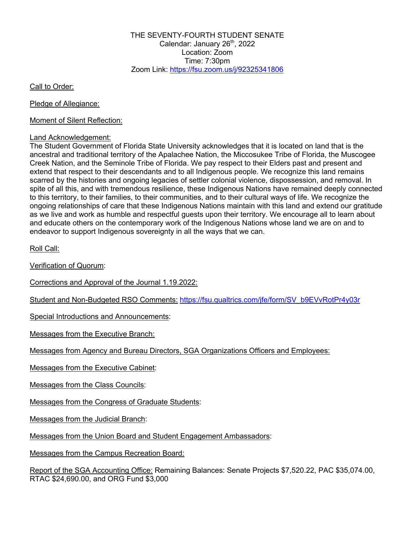THE SEVENTY-FOURTH STUDENT SENATE Calendar: January 26<sup>th</sup>, 2022 Location: Zoom Time:  $7:30$ pm Zoom Link: https://fsu.zoom.us/j/92325341806

Call to Order:

Pledge of Allegiance:

Moment of Silent Reflection:

### Land Acknowledgement:

The Student Government of Florida State University acknowledges that it is located on land that is the ancestral and traditional territory of the Apalachee Nation, the Miccosukee Tribe of Florida, the Muscogee Creek Nation, and the Seminole Tribe of Florida. We pay respect to their Elders past and present and extend that respect to their descendants and to all Indigenous people. We recognize this land remains scarred by the histories and ongoing legacies of settler colonial violence, dispossession, and removal. In spite of all this, and with tremendous resilience, these Indigenous Nations have remained deeply connected to this territory, to their families, to their communities, and to their cultural ways of life. We recognize the ongoing relationships of care that these Indigenous Nations maintain with this land and extend our gratitude as we live and work as humble and respectful guests upon their territory. We encourage all to learn about and educate others on the contemporary work of the Indigenous Nations whose land we are on and to endeavor to support Indigenous sovereignty in all the ways that we can.

Roll Call:

Verification of Quorum:

Corrections and Approval of the Journal 1.19.2022:

Student and Non-Budgeted RSO Comments: https://fsu.qualtrics.com/jfe/form/SV\_b9EVvRotPr4y03r

Special Introductions and Announcements:

Messages from the Executive Branch:

Messages from Agency and Bureau Directors, SGA Organizations Officers and Employees:

Messages from the Executive Cabinet:

Messages from the Class Councils:

Messages from the Congress of Graduate Students:

Messages from the Judicial Branch:

Messages from the Union Board and Student Engagement Ambassadors:

Messages from the Campus Recreation Board:

Report of the SGA Accounting Office: Remaining Balances: Senate Projects \$7,520.22, PAC \$35,074.00, RTAC \$24,690.00, and ORG Fund \$3,000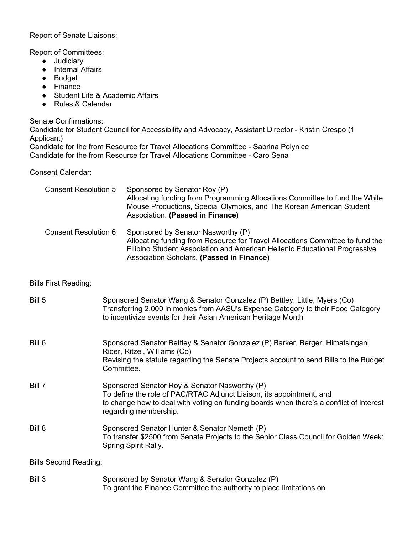# Report of Senate Liaisons:

### Report of Committees:

- Judiciary
- Internal Affairs
- Budget
- Finance
- Student Life & Academic Affairs
- Rules & Calendar

Senate Confirmations:

Candidate for Student Council for Accessibility and Advocacy, Assistant Director - Kristin Crespo (1 Applicant)

Candidate for the from Resource for Travel Allocations Committee - Sabrina Polynice Candidate for the from Resource for Travel Allocations Committee - Caro Sena

# Consent Calendar:

| <b>Consent Resolution 5</b> | Sponsored by Senator Roy (P)<br>Allocating funding from Programming Allocations Committee to fund the White<br>Mouse Productions, Special Olympics, and The Korean American Student<br>Association. (Passed in Finance)                        |
|-----------------------------|------------------------------------------------------------------------------------------------------------------------------------------------------------------------------------------------------------------------------------------------|
| <b>Consent Resolution 6</b> | Sponsored by Senator Nasworthy (P)<br>Allocating funding from Resource for Travel Allocations Committee to fund the<br>Filipino Student Association and American Hellenic Educational Progressive<br>Association Scholars. (Passed in Finance) |

# Bills First Reading:

| Bill 5                       | Sponsored Senator Wang & Senator Gonzalez (P) Bettley, Little, Myers (Co)<br>Transferring 2,000 in monies from AASU's Expense Category to their Food Category<br>to incentivize events for their Asian American Heritage Month            |
|------------------------------|-------------------------------------------------------------------------------------------------------------------------------------------------------------------------------------------------------------------------------------------|
| Bill 6                       | Sponsored Senator Bettley & Senator Gonzalez (P) Barker, Berger, Himatsingani,<br>Rider, Ritzel, Williams (Co)<br>Revising the statute regarding the Senate Projects account to send Bills to the Budget<br>Committee.                    |
| Bill 7                       | Sponsored Senator Roy & Senator Nasworthy (P)<br>To define the role of PAC/RTAC Adjunct Liaison, its appointment, and<br>to change how to deal with voting on funding boards when there's a conflict of interest<br>regarding membership. |
| Bill 8                       | Sponsored Senator Hunter & Senator Nemeth (P)<br>To transfer \$2500 from Senate Projects to the Senior Class Council for Golden Week:<br>Spring Spirit Rally.                                                                             |
| <b>Bills Second Reading:</b> |                                                                                                                                                                                                                                           |
| Bill 3                       | Sponsored by Senator Wang & Senator Gonzalez (P)<br>To grant the Finance Committee the authority to place limitations on                                                                                                                  |